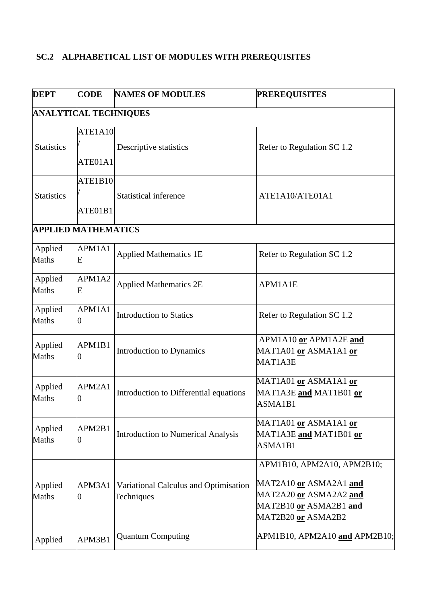## **SC.2 ALPHABETICAL LIST OF MODULES WITH PREREQUISITES**

| <b>DEPT</b>             | <b>CODE</b>                  | <b>NAMES OF MODULES</b>                             | <b>PREREQUISITES</b>                                                                                                           |
|-------------------------|------------------------------|-----------------------------------------------------|--------------------------------------------------------------------------------------------------------------------------------|
|                         | <b>ANALYTICAL TECHNIQUES</b> |                                                     |                                                                                                                                |
| <b>Statistics</b>       | ATE1A10<br>ATE01A1           | Descriptive statistics                              | Refer to Regulation SC 1.2                                                                                                     |
| <b>Statistics</b>       | ATE1B10<br>ATE01B1           | <b>Statistical inference</b>                        | ATE1A10/ATE01A1                                                                                                                |
|                         | <b>APPLIED MATHEMATICS</b>   |                                                     |                                                                                                                                |
| Applied<br>Maths        | APM1A1<br>E                  | <b>Applied Mathematics 1E</b>                       | Refer to Regulation SC 1.2                                                                                                     |
| Applied<br>Maths        | APM1A2<br>E                  | <b>Applied Mathematics 2E</b>                       | APM1A1E                                                                                                                        |
| Applied<br>Maths        | APM1A1<br>0                  | <b>Introduction to Statics</b>                      | Refer to Regulation SC 1.2                                                                                                     |
| Applied<br>Maths        | APM1B1<br>0                  | Introduction to Dynamics                            | APM1A10 or APM1A2E and<br>MAT1A01 or ASMA1A1 or<br>MAT1A3E                                                                     |
| Applied<br>Maths        | APM2A1<br>0                  | Introduction to Differential equations              | MAT1A01 or ASMA1A1 or<br>MAT1A3E and MAT1B01 or<br>ASMA1B1                                                                     |
| Applied<br><b>Maths</b> | APM2B1<br>0                  | <b>Introduction to Numerical Analysis</b>           | MAT1A01 or ASMA1A1 or<br>MAT1A3E and MAT1B01 or<br>ASMA1B1                                                                     |
| Applied<br>Maths        | APM3A1<br>0                  | Variational Calculus and Optimisation<br>Techniques | APM1B10, APM2A10, APM2B10;<br>MAT2A10 or ASMA2A1 and<br>MAT2A20 or ASMA2A2 and<br>MAT2B10 or ASMA2B1 and<br>MAT2B20 or ASMA2B2 |
| Applied                 | APM3B1                       | <b>Quantum Computing</b>                            | APM1B10, APM2A10 and APM2B10;                                                                                                  |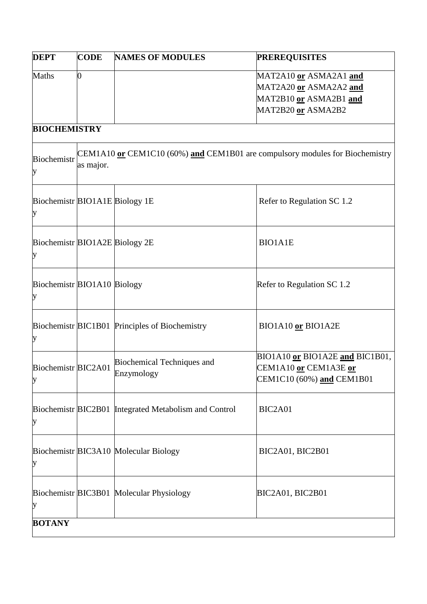| <b>DEPT</b>                         | <b>CODE</b> | <b>NAMES OF MODULES</b>                                                      | <b>PREREQUISITES</b>                                                                             |
|-------------------------------------|-------------|------------------------------------------------------------------------------|--------------------------------------------------------------------------------------------------|
| <b>Maths</b>                        | 0           |                                                                              | MAT2A10 or ASMA2A1 and<br>MAT2A20 or ASMA2A2 and<br>MAT2B10 or ASMA2B1 and<br>MAT2B20 or ASMA2B2 |
| <b>BIOCHEMISTRY</b>                 |             |                                                                              |                                                                                                  |
| Biochemistr<br>у                    | as major.   | CEM1A10 or CEM1C10 (60%) and CEM1B01 are compulsory modules for Biochemistry |                                                                                                  |
| Biochemistr BIO1A1E Biology 1E<br>у |             |                                                                              | Refer to Regulation SC 1.2                                                                       |
| Biochemistr BIO1A2E Biology 2E<br>у |             |                                                                              | <b>BIO1A1E</b>                                                                                   |
| Biochemistr BIO1A10 Biology<br>у    |             |                                                                              | Refer to Regulation SC 1.2                                                                       |
| у                                   |             | Biochemistr BIC1B01 Principles of Biochemistry                               | BIO1A10 or BIO1A2E                                                                               |
| Biochemistr BIC2A01<br>у            |             | Biochemical Techniques and<br>Enzymology                                     | BIO1A10 or BIO1A2E and BIC1B01,<br>CEM1A10 or CEM1A3E or<br>CEM1C10 (60%) and CEM1B01            |
| у                                   |             | Biochemistr BIC2B01 Integrated Metabolism and Control                        | BIC2A01                                                                                          |
| у                                   |             | Biochemistr BIC3A10 Molecular Biology                                        | BIC2A01, BIC2B01                                                                                 |
| у                                   |             | Biochemistr BIC3B01 Molecular Physiology                                     | BIC2A01, BIC2B01                                                                                 |
| <b>BOTANY</b>                       |             |                                                                              |                                                                                                  |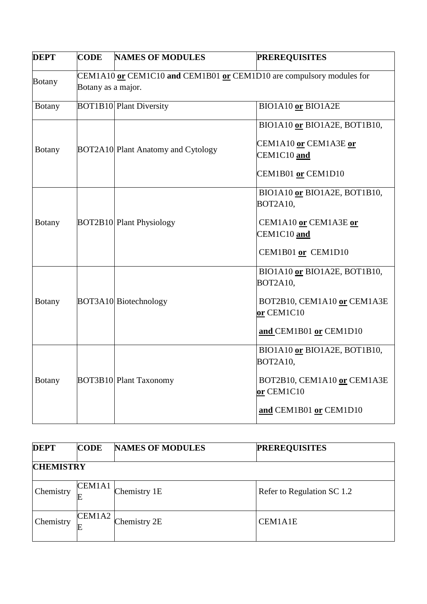| <b>DEPT</b>   | <b>CODE</b>        | <b>NAMES OF MODULES</b>                                              | <b>PREREQUISITES</b>                                                                                                   |
|---------------|--------------------|----------------------------------------------------------------------|------------------------------------------------------------------------------------------------------------------------|
| <b>Botany</b> | Botany as a major. | CEM1A10 or CEM1C10 and CEM1B01 or CEM1D10 are compulsory modules for |                                                                                                                        |
| <b>Botany</b> |                    | <b>BOT1B10 Plant Diversity</b>                                       | BIO1A10 or BIO1A2E                                                                                                     |
| <b>Botany</b> |                    | <b>BOT2A10</b> Plant Anatomy and Cytology                            | BIO1A10 or BIO1A2E, BOT1B10,<br>CEM1A10 or CEM1A3E or<br>CEM1C10 and<br>CEM1B01 or CEM1D10                             |
| <b>Botany</b> |                    | <b>BOT2B10</b> Plant Physiology                                      | BIO1A10 or BIO1A2E, BOT1B10,<br><b>BOT2A10,</b><br>CEM1A10 or CEM1A3E or<br>CEM1C10 and<br>CEM1B01 or CEM1D10          |
| <b>Botany</b> |                    | BOT3A10 Biotechnology                                                | BIO1A10 or BIO1A2E, BOT1B10,<br><b>BOT2A10.</b><br>BOT2B10, CEM1A10 or CEM1A3E<br>or CEM1C10<br>and CEM1B01 or CEM1D10 |
| <b>Botany</b> |                    | <b>BOT3B10 Plant Taxonomy</b>                                        | BIO1A10 or BIO1A2E, BOT1B10,<br><b>BOT2A10,</b><br>BOT2B10, CEM1A10 or CEM1A3E<br>or CEM1C10<br>and CEM1B01 or CEM1D10 |

| <b>DEPT</b>      | <b>CODE</b> | <b>NAMES OF MODULES</b> | <b>PREREQUISITES</b>       |  |
|------------------|-------------|-------------------------|----------------------------|--|
| <b>CHEMISTRY</b> |             |                         |                            |  |
| Chemistry        | CEM1A1<br>E | Chemistry 1E            | Refer to Regulation SC 1.2 |  |
| Chemistry        | CEM1A2<br>E | Chemistry 2E            | <b>CEM1A1E</b>             |  |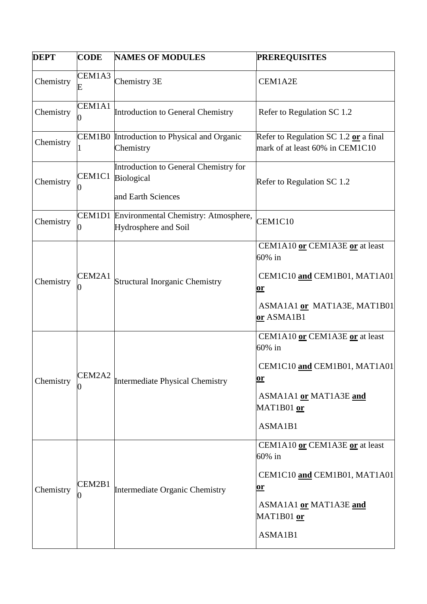| <b>DEPT</b> | <b>CODE</b> | <b>NAMES OF MODULES</b>                                                   | <b>PREREQUISITES</b>                                                                                                                     |
|-------------|-------------|---------------------------------------------------------------------------|------------------------------------------------------------------------------------------------------------------------------------------|
| Chemistry   | CEM1A3<br>E | Chemistry 3E                                                              | CEM1A2E                                                                                                                                  |
| Chemistry   | CEM1A1      | Introduction to General Chemistry                                         | Refer to Regulation SC 1.2                                                                                                               |
| Chemistry   |             | CEM1B0 Introduction to Physical and Organic<br>Chemistry                  | Refer to Regulation SC 1.2 or a final<br>mark of at least 60% in CEM1C10                                                                 |
| Chemistry   | CEM1C1      | Introduction to General Chemistry for<br>Biological<br>and Earth Sciences | Refer to Regulation SC 1.2                                                                                                               |
| Chemistry   |             | CEM1D1 Environmental Chemistry: Atmosphere,<br>Hydrosphere and Soil       | CEM1C10                                                                                                                                  |
| Chemistry   | CEM2A1      | <b>Structural Inorganic Chemistry</b>                                     | CEM1A10 or CEM1A3E or at least<br>60% in<br>CEM1C10 and CEM1B01, MAT1A01<br><u>or</u><br>ASMA1A1 or MAT1A3E, MAT1B01<br>or ASMA1B1       |
| Chemistry   | CEM2A2      | <b>Intermediate Physical Chemistry</b>                                    | CEM1A10 or CEM1A3E or at least<br>60% in<br>CEM1C10 and CEM1B01, MAT1A01<br><u>or</u><br>ASMA1A1 or MAT1A3E and<br>MAT1B01 or<br>ASMA1B1 |
| Chemistry   | CEM2B1      | Intermediate Organic Chemistry                                            | CEM1A10 or CEM1A3E or at least<br>60% in<br>CEM1C10 and CEM1B01, MAT1A01<br><u>or</u><br>ASMA1A1 or MAT1A3E and<br>MAT1B01 or<br>ASMA1B1 |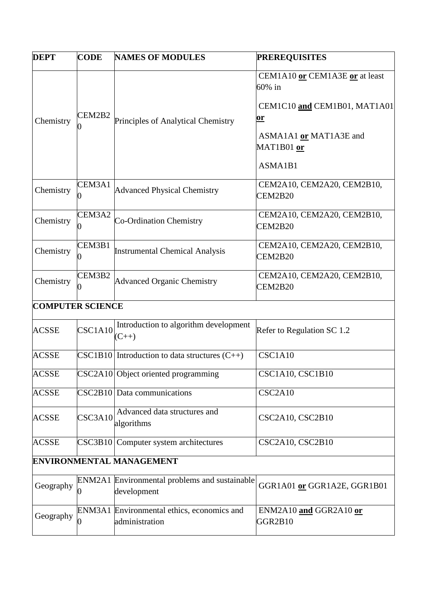| <b>DEPT</b>             | <b>CODE</b> | <b>NAMES OF MODULES</b>                                      | <b>PREREQUISITES</b>                                                                                                                        |
|-------------------------|-------------|--------------------------------------------------------------|---------------------------------------------------------------------------------------------------------------------------------------------|
| Chemistry               | CEM2B2      | Principles of Analytical Chemistry                           | CEM1A10 or CEM1A3E or at least<br>$60\%$ in<br>CEM1C10 and CEM1B01, MAT1A01<br><u>or</u><br>ASMA1A1 or MAT1A3E and<br>MAT1B01 or<br>ASMA1B1 |
| Chemistry               | CEM3A1      | <b>Advanced Physical Chemistry</b>                           | CEM2A10, CEM2A20, CEM2B10,<br>CEM2B20                                                                                                       |
| Chemistry               | CEM3A2      | Co-Ordination Chemistry                                      | CEM2A10, CEM2A20, CEM2B10,<br>CEM2B20                                                                                                       |
| Chemistry               | CEM3B1      | <b>Instrumental Chemical Analysis</b>                        | CEM2A10, CEM2A20, CEM2B10,<br>CEM2B20                                                                                                       |
| Chemistry               | CEM3B2      | <b>Advanced Organic Chemistry</b>                            | CEM2A10, CEM2A20, CEM2B10,<br>CEM2B20                                                                                                       |
| <b>COMPUTER SCIENCE</b> |             |                                                              |                                                                                                                                             |
| <b>ACSSE</b>            | CSC1A10     | Introduction to algorithm development<br>$(C_{++})$          | Refer to Regulation SC 1.2                                                                                                                  |
| <b>ACSSE</b>            |             | $\text{CSC1B10}$ Introduction to data structures $(C++)$     | CSC1A10                                                                                                                                     |
| <b>ACSSE</b>            |             | CSC2A10 Object oriented programming                          | CSC1A10, CSC1B10                                                                                                                            |
| <b>ACSSE</b>            |             | $\text{CSC2B10}$ Data communications                         | CSC2A10                                                                                                                                     |
| <b>ACSSE</b>            | CSC3A10     | Advanced data structures and<br>algorithms                   | CSC2A10, CSC2B10                                                                                                                            |
| <b>ACSSE</b>            | CSC3B10     | Computer system architectures                                | CSC2A10, CSC2B10                                                                                                                            |
|                         |             | <b>ENVIRONMENTAL MANAGEMENT</b>                              |                                                                                                                                             |
| Geography               |             | ENM2A1 Environmental problems and sustainable<br>development | GGR1A01 or GGR1A2E, GGR1B01                                                                                                                 |
| Geography               |             | ENM3A1 Environmental ethics, economics and<br>administration | ENM2A10 and GGR2A10 or<br>GGR2B10                                                                                                           |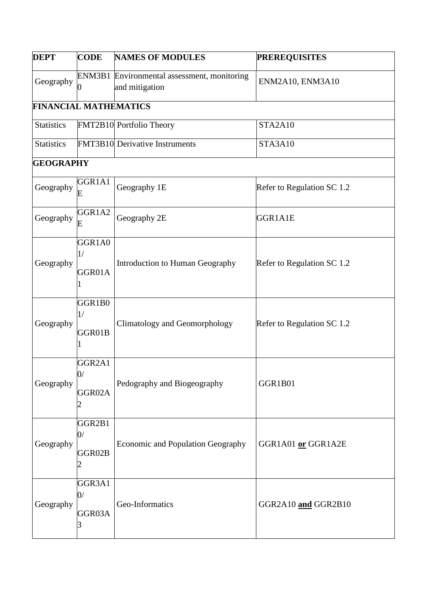| <b>DEPT</b>                  | <b>CODE</b>                        | <b>NAMES OF MODULES</b>                                       | <b>PREREQUISITES</b>       |
|------------------------------|------------------------------------|---------------------------------------------------------------|----------------------------|
| Geography                    |                                    | ENM3B1 Environmental assessment, monitoring<br>and mitigation | ENM2A10, ENM3A10           |
| <b>FINANCIAL MATHEMATICS</b> |                                    |                                                               |                            |
| <b>Statistics</b>            |                                    | FMT2B10 Portfolio Theory                                      | STA2A10                    |
| <b>Statistics</b>            |                                    | <b>FMT3B10</b> Derivative Instruments                         | STA3A10                    |
| <b>GEOGRAPHY</b>             |                                    |                                                               |                            |
| Geography                    | GGR1A1<br>E                        | Geography 1E                                                  | Refer to Regulation SC 1.2 |
| Geography                    | GGR1A2<br>Е                        | Geography 2E                                                  | GGR1A1E                    |
| Geography                    | GGR1A0<br>1/<br>GGR01A             | Introduction to Human Geography                               | Refer to Regulation SC 1.2 |
| Geography                    | GGR1B0<br>1/<br>GGR01B             | <b>Climatology and Geomorphology</b>                          | Refer to Regulation SC 1.2 |
| Geography                    | GGR <sub>2A1</sub><br>0/<br>GGR02A | Pedography and Biogeography                                   | GGR1B01                    |
| Geography                    | GGR2B1<br>0/<br>GGR02B             | Economic and Population Geography                             | GGR1A01 or GGR1A2E         |
| Geography                    | GGR3A1<br>0/<br>GGR03A             | Geo-Informatics                                               | GGR2A10 and GGR2B10        |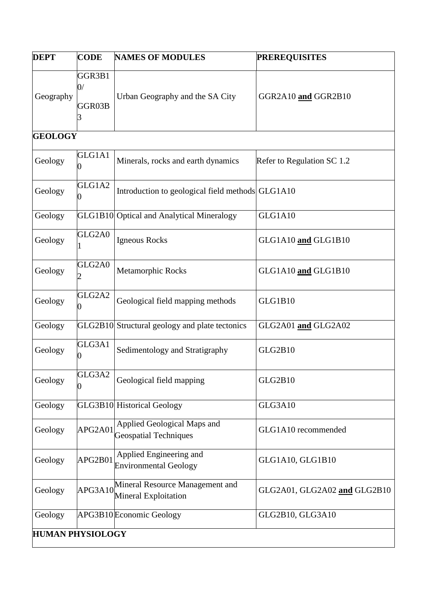| <b>DEPT</b>             | <b>CODE</b>            | <b>NAMES OF MODULES</b>                                     | <b>PREREQUISITES</b>         |
|-------------------------|------------------------|-------------------------------------------------------------|------------------------------|
| Geography               | GGR3B1<br>0/<br>GGR03B | Urban Geography and the SA City                             | GGR2A10 and GGR2B10          |
| <b>GEOLOGY</b>          |                        |                                                             |                              |
| Geology                 | GLG1A1                 | Minerals, rocks and earth dynamics                          | Refer to Regulation SC 1.2   |
| Geology                 | GLG1A2                 | Introduction to geological field methods GLG1A10            |                              |
| Geology                 |                        | GLG1B10 Optical and Analytical Mineralogy                   | GLG1A10                      |
| Geology                 | GLG2A0                 | Igneous Rocks                                               | GLG1A10 and GLG1B10          |
| Geology                 | GLG2A0                 | Metamorphic Rocks                                           | GLG1A10 and GLG1B10          |
| Geology                 | GLG2A2                 | Geological field mapping methods                            | GLG1B10                      |
| Geology                 |                        | GLG2B10 Structural geology and plate tectonics              | GLG2A01 and GLG2A02          |
| Geology                 | GLG3A1                 | Sedimentology and Stratigraphy                              | GLG2B10                      |
| Geology                 | GLG3A2                 | Geological field mapping                                    | GLG2B10                      |
| Geology                 |                        | GLG3B10 Historical Geology                                  | GLG3A10                      |
| Geology                 | APG2A01                | Applied Geological Maps and<br><b>Geospatial Techniques</b> | GLG1A10 recommended          |
| Geology                 | APG2B01                | Applied Engineering and<br><b>Environmental Geology</b>     | GLG1A10, GLG1B10             |
| Geology                 | APG3A10                | Mineral Resource Management and<br>Mineral Exploitation     | GLG2A01, GLG2A02 and GLG2B10 |
| Geology                 |                        | APG3B10Economic Geology                                     | GLG2B10, GLG3A10             |
| <b>HUMAN PHYSIOLOGY</b> |                        |                                                             |                              |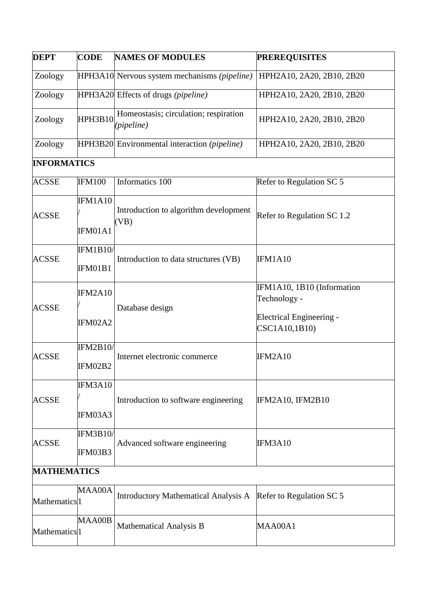| <b>DEPT</b>              | <b>CODE</b>                | <b>NAMES OF MODULES</b>                               | <b>PREREQUISITES</b>                                                                           |
|--------------------------|----------------------------|-------------------------------------------------------|------------------------------------------------------------------------------------------------|
| Zoology                  |                            | HPH3A10 Nervous system mechanisms (pipeline)          | HPH2A10, 2A20, 2B10, 2B20                                                                      |
| Zoology                  |                            | HPH3A20 Effects of drugs (pipeline)                   | HPH2A10, 2A20, 2B10, 2B20                                                                      |
| Zoology                  | HPH3B10                    | Homeostasis; circulation; respiration<br>(pipeline)   | HPH2A10, 2A20, 2B10, 2B20                                                                      |
| Zoology                  |                            | HPH3B20 Environmental interaction ( <i>pipeline</i> ) | HPH2A10, 2A20, 2B10, 2B20                                                                      |
| <b>INFORMATICS</b>       |                            |                                                       |                                                                                                |
| <b>ACSSE</b>             | <b>IFM100</b>              | Informatics 100                                       | Refer to Regulation SC 5                                                                       |
| <b>ACSSE</b>             | IFM1A10<br>IFM01A1         | Introduction to algorithm development<br>(VB)         | Refer to Regulation SC 1.2                                                                     |
| <b>ACSSE</b>             | <b>IFM1B10/</b><br>IFM01B1 | Introduction to data structures (VB)                  | IFM1A10                                                                                        |
| <b>ACSSE</b>             | IFM2A10<br>IFM02A2         | Database design                                       | IFM1A10, 1B10 (Information<br>Technology -<br><b>Electrical Engineering -</b><br>CSC1A10,1B10) |
| <b>ACSSE</b>             | <b>IFM2B10/</b><br>IFM02B2 | Internet electronic commerce                          | IFM2A10                                                                                        |
| <b>ACSSE</b>             | IFM3A10<br>IFM03A3         | Introduction to software engineering                  | IFM2A10, IFM2B10                                                                               |
| <b>ACSSE</b>             | <b>IFM3B10/</b><br>IFM03B3 | Advanced software engineering                         | IFM3A10                                                                                        |
| <b>MATHEMATICS</b>       |                            |                                                       |                                                                                                |
| Mathematics <sup>1</sup> | MAA00A                     | <b>Introductory Mathematical Analysis A</b>           | Refer to Regulation SC 5                                                                       |
| Mathematics <sup>1</sup> | MAA00B                     | <b>Mathematical Analysis B</b>                        | MAA00A1                                                                                        |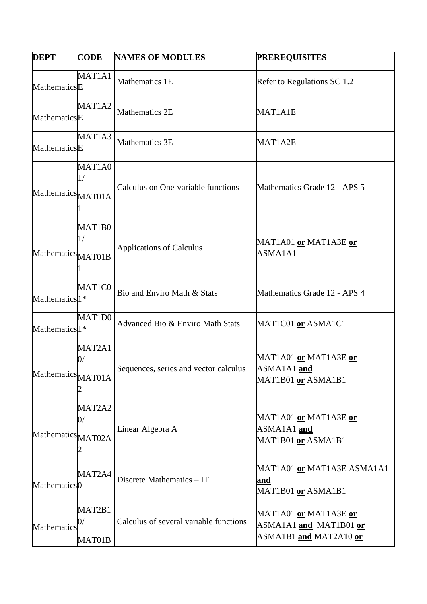| <b>DEPT</b>               | <b>CODE</b>            | <b>NAMES OF MODULES</b>                | <b>PREREQUISITES</b>                                                      |
|---------------------------|------------------------|----------------------------------------|---------------------------------------------------------------------------|
| MathematicsE              | MAT1A1                 | Mathematics 1E                         | Refer to Regulations SC 1.2                                               |
| MathematicsE              | MAT1A2                 | <b>Mathematics 2E</b>                  | MAT1A1E                                                                   |
| MathematicsE              | MAT1A3                 | Mathematics 3E                         | MAT1A2E                                                                   |
| Mathematics MAT01A        | MAT1A0<br>1/           | Calculus on One-variable functions     | Mathematics Grade 12 - APS 5                                              |
| Mathematics MAT01B        | MAT1B0<br>1/           | <b>Applications of Calculus</b>        | MAT1A01 or MAT1A3E or<br>ASMA1A1                                          |
| Mathematics <sup>1*</sup> | MAT1C0                 | Bio and Enviro Math & Stats            | Mathematics Grade 12 - APS 4                                              |
| Mathematics <sup>1*</sup> | MAT1D0                 | Advanced Bio & Enviro Math Stats       | MATIC01 or ASMA1C1                                                        |
| Mathematics MAT01A        | MAT2A1<br>0/           | Sequences, series and vector calculus  | MAT1A01 or MAT1A3E or<br>ASMA1A1 and<br>MAT1B01 or ASMA1B1                |
| Mathematics MAT02A        | MAT2A2<br>0/           | Linear Algebra A                       | MAT1A01 or MAT1A3E or<br>ASMA1A1 and<br>MAT1B01 or ASMA1B1                |
| Mathematics <sup>0</sup>  | MAT2A4                 | Discrete Mathematics - IT              | MAT1A01 or MAT1A3E ASMA1A1<br>and<br>MAT1B01 or ASMA1B1                   |
| Mathematics               | MAT2B1<br>0/<br>MAT01B | Calculus of several variable functions | MAT1A01 or MAT1A3E or<br>ASMA1A1 and MAT1B01 or<br>ASMA1B1 and MAT2A10 or |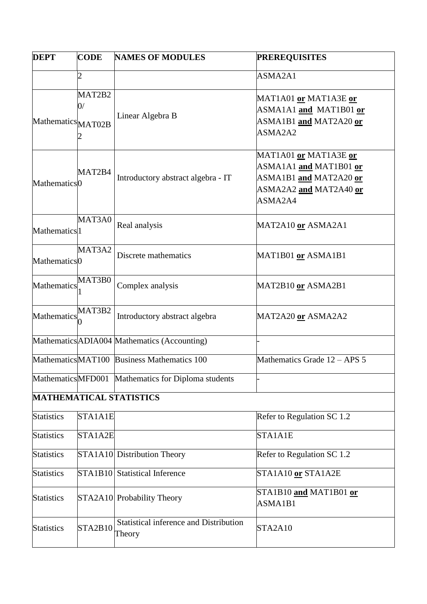| <b>DEPT</b>              | <b>CODE</b>    | <b>NAMES OF MODULES</b>                                 | <b>PREREQUISITES</b>                                                                                           |
|--------------------------|----------------|---------------------------------------------------------|----------------------------------------------------------------------------------------------------------------|
|                          | $\overline{c}$ |                                                         | ASMA2A1                                                                                                        |
| Mathematics MAT02B       | MAT2B2<br>0/   | Linear Algebra B                                        | MAT1A01 <u>or</u> MAT1A3E <u>or</u><br>ASMA1A1 and MAT1B01 or<br>ASMA1B1 and MAT2A20 or<br>ASMA2A2             |
| Mathematics <sup>0</sup> | MAT2B4         | Introductory abstract algebra - IT                      | MAT1A01 or MAT1A3E or<br>ASMA1A1 and MAT1B01 or<br>ASMA1B1 and MAT2A20 or<br>ASMA2A2 and MAT2A40 or<br>ASMA2A4 |
| Mathematics <sup>1</sup> | MAT3A0         | Real analysis                                           | MAT2A10 or ASMA2A1                                                                                             |
| Mathematics <sup>0</sup> | MAT3A2         | Discrete mathematics                                    | MAT1B01 <u>or</u> ASMA1B1                                                                                      |
| Mathematics              | MAT3B0         | Complex analysis                                        | MAT2B10 or ASMA2B1                                                                                             |
| Mathematics              | MAT3B2         | Introductory abstract algebra                           | MAT2A20 or ASMA2A2                                                                                             |
|                          |                | Mathematics ADIA004 Mathematics (Accounting)            |                                                                                                                |
|                          |                | MathematicsMAT100 Business Mathematics 100              | Mathematics Grade 12 - APS 5                                                                                   |
|                          |                | MathematicsMFD001 Mathematics for Diploma students      |                                                                                                                |
|                          |                | <b>MATHEMATICAL STATISTICS</b>                          |                                                                                                                |
| <b>Statistics</b>        | STA1A1E        |                                                         | Refer to Regulation SC $1.2$                                                                                   |
| <b>Statistics</b>        | STA1A2E        |                                                         | STA1A1E                                                                                                        |
| <b>Statistics</b>        |                | STA1A10 Distribution Theory                             | Refer to Regulation SC 1.2                                                                                     |
| <b>Statistics</b>        |                | <b>STA1B10</b> Statistical Inference                    | STA1A10 or STA1A2E                                                                                             |
| <b>Statistics</b>        |                | STA2A10 Probability Theory                              | STA1B10 and MAT1B01 or<br>ASMA1B1                                                                              |
| <b>Statistics</b>        | STA2B10        | <b>Statistical inference and Distribution</b><br>Theory | STA2A10                                                                                                        |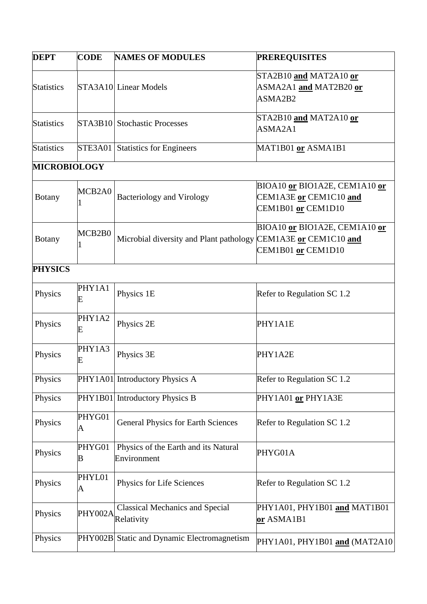| <b>DEPT</b>         | <b>CODE</b>    | <b>NAMES OF MODULES</b>                                        | <b>PREREQUISITES</b>                                                          |
|---------------------|----------------|----------------------------------------------------------------|-------------------------------------------------------------------------------|
| <b>Statistics</b>   |                | STA3A10 Linear Models                                          | STA2B10 and MAT2A10 or<br>ASMA2A1 and MAT2B20 or<br>ASMA2B2                   |
| <b>Statistics</b>   |                | STA3B10 Stochastic Processes                                   | STA2B10 and MAT2A10 or<br>ASMA2A1                                             |
| <b>Statistics</b>   | <b>STE3A01</b> | <b>Statistics for Engineers</b>                                | MAT1B01 or ASMA1B1                                                            |
| <b>MICROBIOLOGY</b> |                |                                                                |                                                                               |
| <b>Botany</b>       | MCB2A0         | <b>Bacteriology and Virology</b>                               | BIOA10 or BIO1A2E, CEM1A10 or<br>CEM1A3E or CEM1C10 and<br>CEM1B01 or CEM1D10 |
| <b>Botany</b>       | MCB2B0         | Microbial diversity and Plant pathology CEM1A3E or CEM1C10 and | BIOA10 or BIO1A2E, CEM1A10 or<br>CEM1B01 or CEM1D10                           |
| <b>PHYSICS</b>      |                |                                                                |                                                                               |
| Physics             | PHY1A1<br>E    | Physics 1E                                                     | Refer to Regulation SC 1.2                                                    |
| Physics             | PHY1A2<br>E    | Physics 2E                                                     | PHY1A1E                                                                       |
| Physics             | PHY1A3<br>E    | Physics 3E                                                     | PHY1A2E                                                                       |
| Physics             |                | PHY1A01 Introductory Physics A                                 | Refer to Regulation SC 1.2                                                    |
| Physics             |                | PHY1B01 Introductory Physics B                                 | PHY1A01 or PHY1A3E                                                            |
| Physics             | PHYG01<br>A    | <b>General Physics for Earth Sciences</b>                      | Refer to Regulation SC 1.2                                                    |
| Physics             | PHYG01<br>B    | Physics of the Earth and its Natural<br>Environment            | PHYG01A                                                                       |
| Physics             | PHYL01<br>A    | Physics for Life Sciences                                      | Refer to Regulation SC 1.2                                                    |
| Physics             | PHY002A        | <b>Classical Mechanics and Special</b><br>Relativity           | PHY1A01, PHY1B01 and MAT1B01<br>or ASMA1B1                                    |
| Physics             |                | PHY002B Static and Dynamic Electromagnetism                    | PHY1A01, PHY1B01 and (MAT2A10)                                                |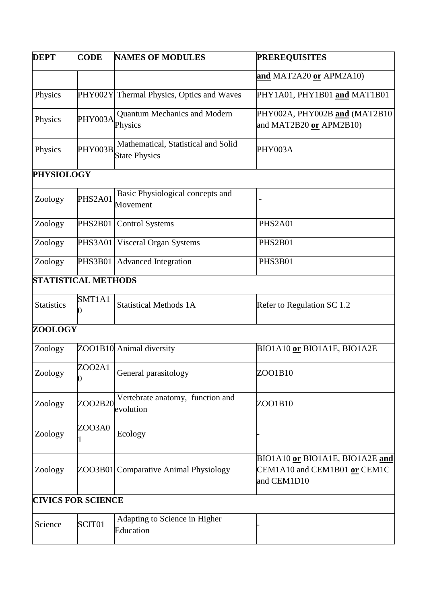| <b>DEPT</b>       | <b>CODE</b>                | <b>NAMES OF MODULES</b>                                     | <b>PREREQUISITES</b>                                                           |
|-------------------|----------------------------|-------------------------------------------------------------|--------------------------------------------------------------------------------|
|                   |                            |                                                             | and MAT2A20 or APM2A10)                                                        |
| Physics           |                            | PHY002Y Thermal Physics, Optics and Waves                   | PHY1A01, PHY1B01 and MAT1B01                                                   |
| Physics           | PHY003A                    | <b>Quantum Mechanics and Modern</b><br>Physics              | PHY002A, PHY002B and (MAT2B10<br>and MAT2B20 or APM2B10)                       |
| Physics           | PHY003B                    | Mathematical, Statistical and Solid<br><b>State Physics</b> | PHY003A                                                                        |
| <b>PHYSIOLOGY</b> |                            |                                                             |                                                                                |
| Zoology           | PHS2A01                    | Basic Physiological concepts and<br>Movement                |                                                                                |
| Zoology           | <b>PHS2B01</b>             | <b>Control Systems</b>                                      | PHS2A01                                                                        |
| Zoology           | <b>PHS3A01</b>             | <b>Visceral Organ Systems</b>                               | PHS2B01                                                                        |
| Zoology           | PHS3B01                    | <b>Advanced Integration</b>                                 | PHS3B01                                                                        |
|                   | <b>STATISTICAL METHODS</b> |                                                             |                                                                                |
| <b>Statistics</b> | SMT1A1                     | <b>Statistical Methods 1A</b>                               | Refer to Regulation SC 1.2                                                     |
| <b>ZOOLOGY</b>    |                            |                                                             |                                                                                |
| Zoology           |                            | ZOO1B10 Animal diversity                                    | BIO1A10 or BIO1A1E, BIO1A2E                                                    |
| Zoology           | ZOO2A1                     | General parasitology                                        | ZOO1B10                                                                        |
| Zoology           | ZOO2B20                    | Vertebrate anatomy, function and<br>evolution               | ZOO1B10                                                                        |
| Zoology           | ZOO3A0                     | Ecology                                                     |                                                                                |
| Zoology           |                            | ZOO3B01 Comparative Animal Physiology                       | BIO1A10 or BIO1A1E, BIO1A2E and<br>CEM1A10 and CEM1B01 or CEM1C<br>and CEM1D10 |
|                   | <b>CIVICS FOR SCIENCE</b>  |                                                             |                                                                                |
| Science           | SCIT01                     | Adapting to Science in Higher<br>Education                  |                                                                                |